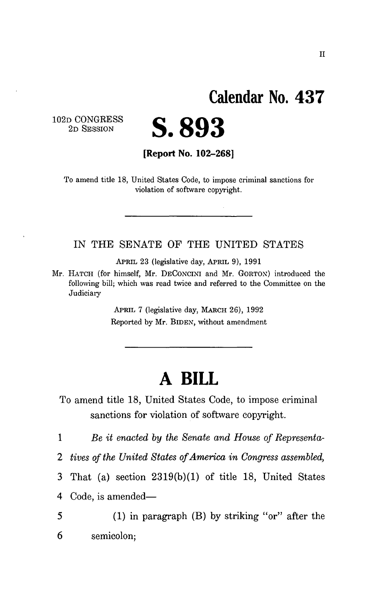## **Calendar No. 43 7**

102D CONGRESS 2D SESSION



**[Report No. 102-268]** 

To amend title 18, United States Code, to impose criminal sanctions for violation of software copyright.

IN THE SENATE OF THE UNITED STATES

APRIL 23 (legislative day, APRIL 9), 1991

Mr. HATCH (for himself, Mr. DECONCINI and Mr. GORTOX) introduced the following bill; which was read twice and referred to the Committee on the Judiciary

> APRIL 7 (legislative day, MARCH 26), 1992 Reported by Mr. BlDEN, without amendment

## **A BILL**

To amend title 18, United States Code, to impose criminal sanctions for violation of software copyright.

1 *Be it enacted by the Senate and House of Representa-*

*2 tives of the United States of America in Congress assembled,* 

3 That (a) section 2319(b)(1) of title 18, United States

4 Code, is amended—

5 (1) in paragraph (B) by striking "or" after the 6 semicolon;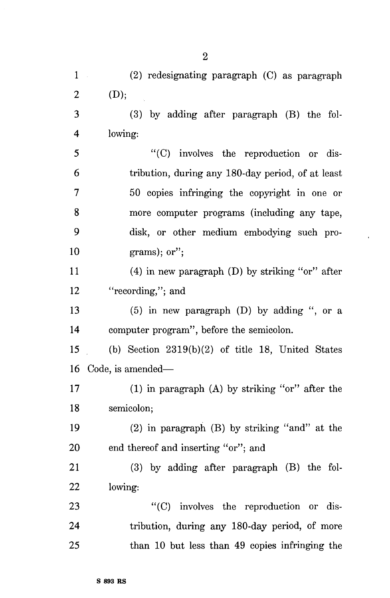1 (2) redesignating paragraph (C) as paragraph 2 (D); 3 (3) by adding after paragraph (B) the fol-4 lowing: 5 "(C) involves the reproduction or dis-6 tribution, during any 180-day period, of at least 7 50 copies infringing the copyright in one or 8 more computer programs (including any tape, 9 disk, or other medium embodying such pro- $10$  grams); or"; 11 (4) in new paragraph (D) by striking "or" after 12 "recording,"; and 13 (5) in new paragraph (D) by adding ", or a 14 computer program", before the semicolon. 15 (b) Section 2319(b)(2) of title 18, United States 16 Code, is amended— 17 (1) in paragraph (A) by striking "or" after the 18 semicolon; 19 (2) in paragraph (B) by striking "and" at the 20 end thereof and inserting "or"; and 21 (3) by adding after paragraph (B) the fol-22 lowing: 23 "(C) involves the reproduction or dis-24 tribution, during any 180-day period, of more 25 than 10 but less than 49 copies infringing the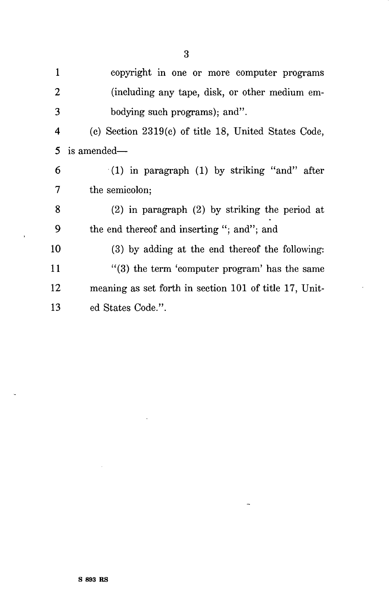copyright in one or more computer programs  $\mathbf{1}$  $\overline{2}$ (including any tape, disk, or other medium em-3 bodying such programs); and", (c) Section 2319(c) of title 18, United States Code,  $\overline{4}$ 5 is amended— (1) in paragraph (1) by striking "and" after 6  $\overline{7}$ the semicolon; 8 (2) in paragraph (2) by striking the period at the end thereof and inserting "; and"; and 9 (3) by adding at the end thereof the following: 10 "(3) the term 'computer program' has the same 11 12 meaning as set forth in section 101 of title 17, United States Code.". 13